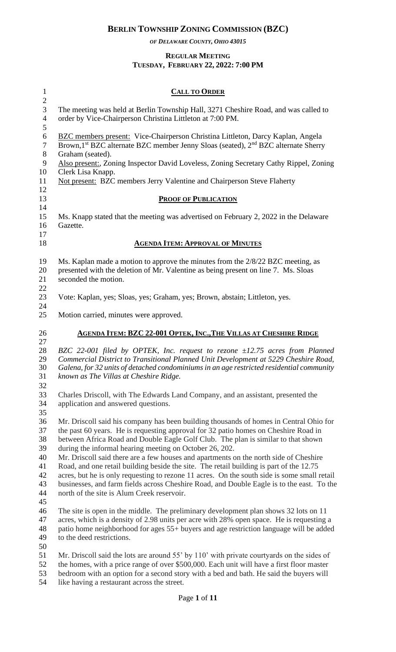*OF DELAWARE COUNTY, OHIO 43015*

#### **REGULAR MEETING TUESDAY, FEBRUARY 22, 2022: 7:00 PM**

| $\mathbf{1}$<br>$\mathbf{2}$                                                                                                                                                                                                                                            | <b>CALL TO ORDER</b>                                                                                                                                                                                                                                                                                                                                                                                                                                                                                                                                                                                                                                                                                                                                        |  |  |  |
|-------------------------------------------------------------------------------------------------------------------------------------------------------------------------------------------------------------------------------------------------------------------------|-------------------------------------------------------------------------------------------------------------------------------------------------------------------------------------------------------------------------------------------------------------------------------------------------------------------------------------------------------------------------------------------------------------------------------------------------------------------------------------------------------------------------------------------------------------------------------------------------------------------------------------------------------------------------------------------------------------------------------------------------------------|--|--|--|
| 3<br>$\overline{4}$<br>5                                                                                                                                                                                                                                                | The meeting was held at Berlin Township Hall, 3271 Cheshire Road, and was called to<br>order by Vice-Chairperson Christina Littleton at 7:00 PM.                                                                                                                                                                                                                                                                                                                                                                                                                                                                                                                                                                                                            |  |  |  |
| $\boldsymbol{6}$<br><b>BZC</b> members present: Vice-Chairperson Christina Littleton, Darcy Kaplan, Angela<br>Brown, 1 <sup>st</sup> BZC alternate BZC member Jenny Sloas (seated), 2 <sup>nd</sup> BZC alternate Sherry<br>$\overline{7}$<br>$8\,$<br>Graham (seated). |                                                                                                                                                                                                                                                                                                                                                                                                                                                                                                                                                                                                                                                                                                                                                             |  |  |  |
| $\mathbf{9}$<br>10                                                                                                                                                                                                                                                      | Also present:, Zoning Inspector David Loveless, Zoning Secretary Cathy Rippel, Zoning<br>Clerk Lisa Knapp.                                                                                                                                                                                                                                                                                                                                                                                                                                                                                                                                                                                                                                                  |  |  |  |
| 11<br>12                                                                                                                                                                                                                                                                | Not present: BZC members Jerry Valentine and Chairperson Steve Flaherty                                                                                                                                                                                                                                                                                                                                                                                                                                                                                                                                                                                                                                                                                     |  |  |  |
| 13                                                                                                                                                                                                                                                                      | <b>PROOF OF PUBLICATION</b>                                                                                                                                                                                                                                                                                                                                                                                                                                                                                                                                                                                                                                                                                                                                 |  |  |  |
| 14<br>15<br>16<br>17                                                                                                                                                                                                                                                    | Ms. Knapp stated that the meeting was advertised on February 2, 2022 in the Delaware<br>Gazette.                                                                                                                                                                                                                                                                                                                                                                                                                                                                                                                                                                                                                                                            |  |  |  |
| 18                                                                                                                                                                                                                                                                      | <b>AGENDA ITEM: APPROVAL OF MINUTES</b>                                                                                                                                                                                                                                                                                                                                                                                                                                                                                                                                                                                                                                                                                                                     |  |  |  |
| 19<br>20<br>21                                                                                                                                                                                                                                                          | Ms. Kaplan made a motion to approve the minutes from the 2/8/22 BZC meeting, as<br>presented with the deletion of Mr. Valentine as being present on line 7. Ms. Sloas<br>seconded the motion.                                                                                                                                                                                                                                                                                                                                                                                                                                                                                                                                                               |  |  |  |
| 22<br>23<br>24                                                                                                                                                                                                                                                          | Vote: Kaplan, yes; Sloas, yes; Graham, yes; Brown, abstain; Littleton, yes.                                                                                                                                                                                                                                                                                                                                                                                                                                                                                                                                                                                                                                                                                 |  |  |  |
| 25                                                                                                                                                                                                                                                                      | Motion carried, minutes were approved.                                                                                                                                                                                                                                                                                                                                                                                                                                                                                                                                                                                                                                                                                                                      |  |  |  |
| 26<br>27                                                                                                                                                                                                                                                                | <b>AGENDA ITEM: BZC 22-001 OPTEK, INC., THE VILLAS AT CHESHIRE RIDGE</b>                                                                                                                                                                                                                                                                                                                                                                                                                                                                                                                                                                                                                                                                                    |  |  |  |
| 28<br>29<br>30<br>31                                                                                                                                                                                                                                                    | BZC 22-001 filed by OPTEK, Inc. request to rezone ±12.75 acres from Planned<br>Commercial District to Transitional Planned Unit Development at 5229 Cheshire Road,<br>Galena, for 32 units of detached condominiums in an age restricted residential community<br>known as The Villas at Cheshire Ridge.                                                                                                                                                                                                                                                                                                                                                                                                                                                    |  |  |  |
| 32<br>33<br>34                                                                                                                                                                                                                                                          | Charles Driscoll, with The Edwards Land Company, and an assistant, presented the<br>application and answered questions.                                                                                                                                                                                                                                                                                                                                                                                                                                                                                                                                                                                                                                     |  |  |  |
| 35<br>36<br>37<br>38<br>39<br>40<br>41<br>42<br>43<br>44<br>45                                                                                                                                                                                                          | Mr. Driscoll said his company has been building thousands of homes in Central Ohio for<br>the past 60 years. He is requesting approval for 32 patio homes on Cheshire Road in<br>between Africa Road and Double Eagle Golf Club. The plan is similar to that shown<br>during the informal hearing meeting on October 26, 202.<br>Mr. Driscoll said there are a few houses and apartments on the north side of Cheshire<br>Road, and one retail building beside the site. The retail building is part of the 12.75<br>acres, but he is only requesting to rezone 11 acres. On the south side is some small retail<br>businesses, and farm fields across Cheshire Road, and Double Eagle is to the east. To the<br>north of the site is Alum Creek reservoir. |  |  |  |
| 46<br>47<br>48<br>49<br>50                                                                                                                                                                                                                                              | The site is open in the middle. The preliminary development plan shows 32 lots on 11<br>acres, which is a density of 2.98 units per acre with 28% open space. He is requesting a<br>patio home neighborhood for ages 55+ buyers and age restriction language will be added<br>to the deed restrictions.                                                                                                                                                                                                                                                                                                                                                                                                                                                     |  |  |  |
| 51<br>52<br>53                                                                                                                                                                                                                                                          | Mr. Driscoll said the lots are around 55' by 110' with private courty ards on the sides of<br>the homes, with a price range of over \$500,000. Each unit will have a first floor master<br>bedroom with an option for a second story with a bed and bath. He said the buyers will                                                                                                                                                                                                                                                                                                                                                                                                                                                                           |  |  |  |

like having a restaurant across the street.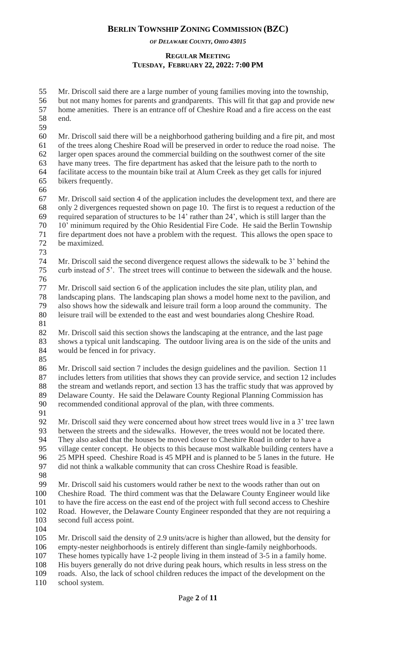*OF DELAWARE COUNTY, OHIO 43015*

### **REGULAR MEETING TUESDAY, FEBRUARY 22, 2022: 7:00 PM**

 Mr. Driscoll said there are a large number of young families moving into the township, but not many homes for parents and grandparents. This will fit that gap and provide new home amenities. There is an entrance off of Cheshire Road and a fire access on the east end.

 Mr. Driscoll said there will be a neighborhood gathering building and a fire pit, and most of the trees along Cheshire Road will be preserved in order to reduce the road noise. The larger open spaces around the commercial building on the southwest corner of the site have many trees. The fire department has asked that the leisure path to the north to facilitate access to the mountain bike trail at Alum Creek as they get calls for injured bikers frequently.

 Mr. Driscoll said section 4 of the application includes the development text, and there are only 2 divergences requested shown on page 10. The first is to request a reduction of the required separation of structures to be 14' rather than 24', which is still larger than the 10' minimum required by the Ohio Residential Fire Code. He said the Berlin Township fire department does not have a problem with the request. This allows the open space to be maximized.

 Mr. Driscoll said the second divergence request allows the sidewalk to be 3' behind the curb instead of 5'. The street trees will continue to between the sidewalk and the house. 

 Mr. Driscoll said section 6 of the application includes the site plan, utility plan, and landscaping plans. The landscaping plan shows a model home next to the pavilion, and also shows how the sidewalk and leisure trail form a loop around the community. The leisure trail will be extended to the east and west boundaries along Cheshire Road.

 Mr. Driscoll said this section shows the landscaping at the entrance, and the last page shows a typical unit landscaping. The outdoor living area is on the side of the units and would be fenced in for privacy.

 Mr. Driscoll said section 7 includes the design guidelines and the pavilion. Section 11 includes letters from utilities that shows they can provide service, and section 12 includes the stream and wetlands report, and section 13 has the traffic study that was approved by Delaware County. He said the Delaware County Regional Planning Commission has recommended conditional approval of the plan, with three comments.

 Mr. Driscoll said they were concerned about how street trees would live in a 3' tree lawn between the streets and the sidewalks. However, the trees would not be located there. They also asked that the houses be moved closer to Cheshire Road in order to have a village center concept. He objects to this because most walkable building centers have a 25 MPH speed. Cheshire Road is 45 MPH and is planned to be 5 lanes in the future. He did not think a walkable community that can cross Cheshire Road is feasible. 

 Mr. Driscoll said his customers would rather be next to the woods rather than out on Cheshire Road. The third comment was that the Delaware County Engineer would like to have the fire access on the east end of the project with full second access to Cheshire Road. However, the Delaware County Engineer responded that they are not requiring a second full access point.

 Mr. Driscoll said the density of 2.9 units/acre is higher than allowed, but the density for empty-nester neighborhoods is entirely different than single-family neighborhoods. These homes typically have 1-2 people living in them instead of 3-5 in a family home. His buyers generally do not drive during peak hours, which results in less stress on the roads. Also, the lack of school children reduces the impact of the development on the

school system.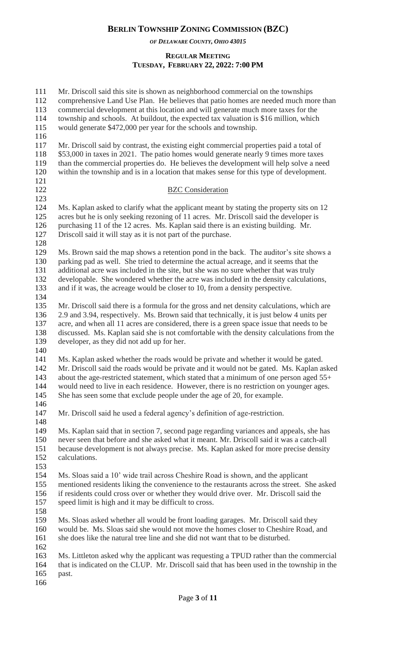*OF DELAWARE COUNTY, OHIO 43015*

## **REGULAR MEETING TUESDAY, FEBRUARY 22, 2022: 7:00 PM**

 Mr. Driscoll said this site is shown as neighborhood commercial on the townships comprehensive Land Use Plan. He believes that patio homes are needed much more than commercial development at this location and will generate much more taxes for the township and schools. At buildout, the expected tax valuation is \$16 million, which would generate \$472,000 per year for the schools and township. Mr. Driscoll said by contrast, the existing eight commercial properties paid a total of \$53,000 in taxes in 2021. The patio homes would generate nearly 9 times more taxes than the commercial properties do. He believes the development will help solve a need within the township and is in a location that makes sense for this type of development. 122 BZC Consideration 124 Ms. Kaplan asked to clarify what the applicant meant by stating the property sits on 12 acres but he is only seeking rezoning of 11 acres. Mr. Driscoll said the developer is purchasing 11 of the 12 acres. Ms. Kaplan said there is an existing building. Mr. Driscoll said it will stay as it is not part of the purchase. Ms. Brown said the map shows a retention pond in the back. The auditor's site shows a parking pad as well. She tried to determine the actual acreage, and it seems that the additional acre was included in the site, but she was no sure whether that was truly developable. She wondered whether the acre was included in the density calculations, and if it was, the acreage would be closer to 10, from a density perspective. 135 Mr. Driscoll said there is a formula for the gross and net density calculations, which are 2.9 and 3.94, respectively. Ms. Brown said that technically, it is just below 4 units per 137 acre, and when all 11 acres are considered, there is a green space issue that needs to be discussed. Ms. Kaplan said she is not comfortable with the density calculations from the developer, as they did not add up for her. Ms. Kaplan asked whether the roads would be private and whether it would be gated. Mr. Driscoll said the roads would be private and it would not be gated. Ms. Kaplan asked 143 about the age-restricted statement, which stated that a minimum of one person aged 55+ would need to live in each residence. However, there is no restriction on younger ages. 145 She has seen some that exclude people under the age of 20, for example. Mr. Driscoll said he used a federal agency's definition of age-restriction. Ms. Kaplan said that in section 7, second page regarding variances and appeals, she has never seen that before and she asked what it meant. Mr. Driscoll said it was a catch-all because development is not always precise. Ms. Kaplan asked for more precise density calculations. Ms. Sloas said a 10' wide trail across Cheshire Road is shown, and the applicant mentioned residents liking the convenience to the restaurants across the street. She asked if residents could cross over or whether they would drive over. Mr. Driscoll said the speed limit is high and it may be difficult to cross. Ms. Sloas asked whether all would be front loading garages. Mr. Driscoll said they would be. Ms. Sloas said she would not move the homes closer to Cheshire Road, and she does like the natural tree line and she did not want that to be disturbed. Ms. Littleton asked why the applicant was requesting a TPUD rather than the commercial that is indicated on the CLUP. Mr. Driscoll said that has been used in the township in the past.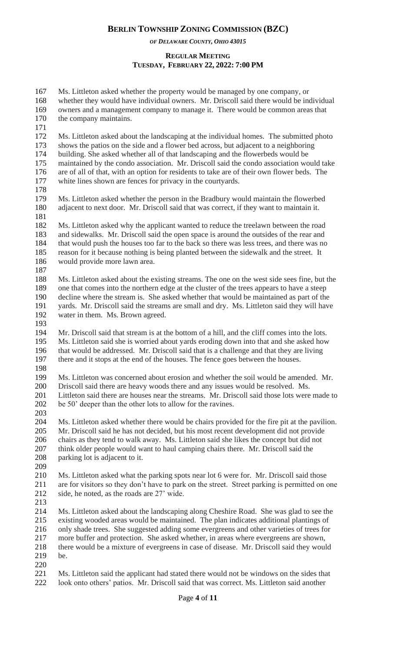*OF DELAWARE COUNTY, OHIO 43015*

#### **REGULAR MEETING TUESDAY, FEBRUARY 22, 2022: 7:00 PM**

 Ms. Littleton asked whether the property would be managed by one company, or whether they would have individual owners. Mr. Driscoll said there would be individual owners and a management company to manage it. There would be common areas that the company maintains. Ms. Littleton asked about the landscaping at the individual homes. The submitted photo shows the patios on the side and a flower bed across, but adjacent to a neighboring building. She asked whether all of that landscaping and the flowerbeds would be maintained by the condo association. Mr. Driscoll said the condo association would take are of all of that, with an option for residents to take are of their own flower beds. The white lines shown are fences for privacy in the courtyards. Ms. Littleton asked whether the person in the Bradbury would maintain the flowerbed adjacent to next door. Mr. Driscoll said that was correct, if they want to maintain it. Ms. Littleton asked why the applicant wanted to reduce the treelawn between the road and sidewalks. Mr. Driscoll said the open space is around the outsides of the rear and that would push the houses too far to the back so there was less trees, and there was no reason for it because nothing is being planted between the sidewalk and the street. It would provide more lawn area. Ms. Littleton asked about the existing streams. The one on the west side sees fine, but the one that comes into the northern edge at the cluster of the trees appears to have a steep decline where the stream is. She asked whether that would be maintained as part of the yards. Mr. Driscoll said the streams are small and dry. Ms. Littleton said they will have water in them. Ms. Brown agreed. Mr. Driscoll said that stream is at the bottom of a hill, and the cliff comes into the lots. Ms. Littleton said she is worried about yards eroding down into that and she asked how that would be addressed. Mr. Driscoll said that is a challenge and that they are living there and it stops at the end of the houses. The fence goes between the houses. Ms. Littleton was concerned about erosion and whether the soil would be amended. Mr. Driscoll said there are heavy woods there and any issues would be resolved. Ms. Littleton said there are houses near the streams. Mr. Driscoll said those lots were made to 202 be 50' deeper than the other lots to allow for the ravines. Ms. Littleton asked whether there would be chairs provided for the fire pit at the pavilion. Mr. Driscoll said he has not decided, but his most recent development did not provide chairs as they tend to walk away. Ms. Littleton said she likes the concept but did not think older people would want to haul camping chairs there. Mr. Driscoll said the parking lot is adjacent to it. Ms. Littleton asked what the parking spots near lot 6 were for. Mr. Driscoll said those are for visitors so they don't have to park on the street. Street parking is permitted on one side, he noted, as the roads are 27' wide. Ms. Littleton asked about the landscaping along Cheshire Road. She was glad to see the existing wooded areas would be maintained. The plan indicates additional plantings of only shade trees. She suggested adding some evergreens and other varieties of trees for more buffer and protection. She asked whether, in areas where evergreens are shown, there would be a mixture of evergreens in case of disease. Mr. Driscoll said they would be. 

 Ms. Littleton said the applicant had stated there would not be windows on the sides that look onto others' patios. Mr. Driscoll said that was correct. Ms. Littleton said another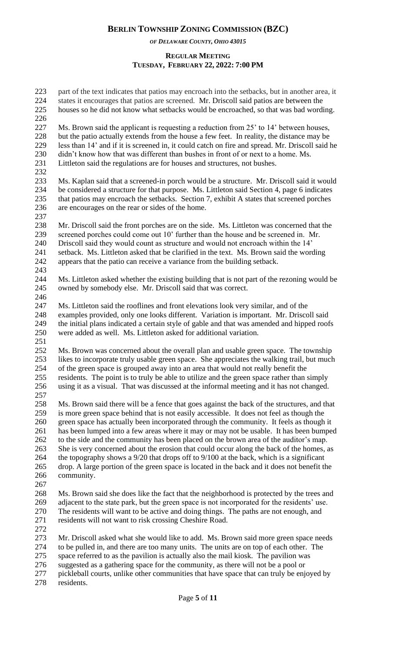*OF DELAWARE COUNTY, OHIO 43015*

#### **REGULAR MEETING TUESDAY, FEBRUARY 22, 2022: 7:00 PM**

| 223<br>224                                                  | part of the text indicates that patios may encroach into the setbacks, but in another area, it<br>states it encourages that patios are screened. Mr. Driscoll said patios are between the                                                                                                                                                                                                                                                                                                                                                                                                                                                                                                                                                                                     |
|-------------------------------------------------------------|-------------------------------------------------------------------------------------------------------------------------------------------------------------------------------------------------------------------------------------------------------------------------------------------------------------------------------------------------------------------------------------------------------------------------------------------------------------------------------------------------------------------------------------------------------------------------------------------------------------------------------------------------------------------------------------------------------------------------------------------------------------------------------|
| 225<br>226                                                  | houses so he did not know what setbacks would be encroached, so that was bad wording.                                                                                                                                                                                                                                                                                                                                                                                                                                                                                                                                                                                                                                                                                         |
| 227<br>228<br>229<br>230<br>231<br>232                      | Ms. Brown said the applicant is requesting a reduction from 25' to 14' between houses,<br>but the patio actually extends from the house a few feet. In reality, the distance may be<br>less than 14' and if it is screened in, it could catch on fire and spread. Mr. Driscoll said he<br>didn't know how that was different than bushes in front of or next to a home. Ms.<br>Littleton said the regulations are for houses and structures, not bushes.                                                                                                                                                                                                                                                                                                                      |
| 233<br>234<br>235<br>236<br>237                             | Ms. Kaplan said that a screened-in porch would be a structure. Mr. Driscoll said it would<br>be considered a structure for that purpose. Ms. Littleton said Section 4, page 6 indicates<br>that patios may encroach the setbacks. Section 7, exhibit A states that screened porches<br>are encourages on the rear or sides of the home.                                                                                                                                                                                                                                                                                                                                                                                                                                       |
| 238<br>239<br>240<br>241<br>242                             | Mr. Driscoll said the front porches are on the side. Ms. Littleton was concerned that the<br>screened porches could come out 10' further than the house and be screened in. Mr.<br>Driscoll said they would count as structure and would not encroach within the 14'<br>setback. Ms. Littleton asked that be clarified in the text. Ms. Brown said the wording<br>appears that the patio can receive a variance from the building setback.                                                                                                                                                                                                                                                                                                                                    |
| 243<br>244<br>245<br>246                                    | Ms. Littleton asked whether the existing building that is not part of the rezoning would be<br>owned by somebody else. Mr. Driscoll said that was correct.                                                                                                                                                                                                                                                                                                                                                                                                                                                                                                                                                                                                                    |
| 247<br>248<br>249<br>250                                    | Ms. Littleton said the rooflines and front elevations look very similar, and of the<br>examples provided, only one looks different. Variation is important. Mr. Driscoll said<br>the initial plans indicated a certain style of gable and that was amended and hipped roofs<br>were added as well. Ms. Littleton asked for additional variation.                                                                                                                                                                                                                                                                                                                                                                                                                              |
| 251<br>252<br>253<br>254<br>255<br>256<br>257               | Ms. Brown was concerned about the overall plan and usable green space. The township<br>likes to incorporate truly usable green space. She appreciates the walking trail, but much<br>of the green space is grouped away into an area that would not really benefit the<br>residents. The point is to truly be able to utilize and the green space rather than simply<br>using it as a visual. That was discussed at the informal meeting and it has not changed.                                                                                                                                                                                                                                                                                                              |
| 258<br>259<br>260<br>261<br>262<br>263<br>264<br>265<br>266 | Ms. Brown said there will be a fence that goes against the back of the structures, and that<br>is more green space behind that is not easily accessible. It does not feel as though the<br>green space has actually been incorporated through the community. It feels as though it<br>has been lumped into a few areas where it may or may not be usable. It has been bumped<br>to the side and the community has been placed on the brown area of the auditor's map.<br>She is very concerned about the erosion that could occur along the back of the homes, as<br>the topography shows a $9/20$ that drops off to $9/100$ at the back, which is a significant<br>drop. A large portion of the green space is located in the back and it does not benefit the<br>community. |
| 267<br>268<br>269<br>270<br>271                             | Ms. Brown said she does like the fact that the neighborhood is protected by the trees and<br>adjacent to the state park, but the green space is not incorporated for the residents' use.<br>The residents will want to be active and doing things. The paths are not enough, and<br>residents will not want to risk crossing Cheshire Road.                                                                                                                                                                                                                                                                                                                                                                                                                                   |
| 272<br>273<br>274<br>275<br>276<br>$\sqrt{27}$              | Mr. Driscoll asked what she would like to add. Ms. Brown said more green space needs<br>to be pulled in, and there are too many units. The units are on top of each other. The<br>space referred to as the pavilion is actually also the mail kiosk. The pavilion was<br>suggested as a gathering space for the community, as there will not be a pool or                                                                                                                                                                                                                                                                                                                                                                                                                     |

 pickleball courts, unlike other communities that have space that can truly be enjoyed by residents.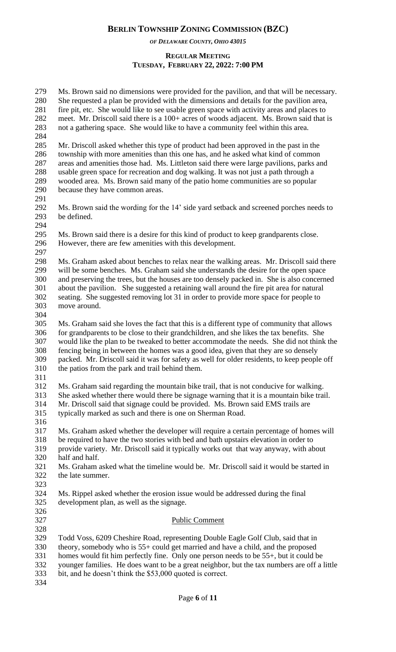*OF DELAWARE COUNTY, OHIO 43015*

#### **REGULAR MEETING TUESDAY, FEBRUARY 22, 2022: 7:00 PM**

 Ms. Brown said no dimensions were provided for the pavilion, and that will be necessary. She requested a plan be provided with the dimensions and details for the pavilion area, fire pit, etc. She would like to see usable green space with activity areas and places to meet. Mr. Driscoll said there is a 100+ acres of woods adjacent. Ms. Brown said that is not a gathering space. She would like to have a community feel within this area.

 Mr. Driscoll asked whether this type of product had been approved in the past in the township with more amenities than this one has, and he asked what kind of common areas and amenities those had. Ms. Littleton said there were large pavilions, parks and usable green space for recreation and dog walking. It was not just a path through a wooded area. Ms. Brown said many of the patio home communities are so popular because they have common areas.

- Ms. Brown said the wording for the 14' side yard setback and screened porches needs to be defined.
- Ms. Brown said there is a desire for this kind of product to keep grandparents close. However, there are few amenities with this development.
- 
- Ms. Graham asked about benches to relax near the walking areas. Mr. Driscoll said there will be some benches. Ms. Graham said she understands the desire for the open space and preserving the trees, but the houses are too densely packed in. She is also concerned about the pavilion. She suggested a retaining wall around the fire pit area for natural seating. She suggested removing lot 31 in order to provide more space for people to move around.
- 

 Ms. Graham said she loves the fact that this is a different type of community that allows for grandparents to be close to their grandchildren, and she likes the tax benefits. She would like the plan to be tweaked to better accommodate the needs. She did not think the fencing being in between the homes was a good idea, given that they are so densely packed. Mr. Driscoll said it was for safety as well for older residents, to keep people off the patios from the park and trail behind them.

 Ms. Graham said regarding the mountain bike trail, that is not conducive for walking. She asked whether there would there be signage warning that it is a mountain bike trail.

- Mr. Driscoll said that signage could be provided. Ms. Brown said EMS trails are
- typically marked as such and there is one on Sherman Road.
- 

 Ms. Graham asked whether the developer will require a certain percentage of homes will 318 be required to have the two stories with bed and bath upstairs elevation in order to provide variety. Mr. Driscoll said it typically works out that way anyway, with ab provide variety. Mr. Driscoll said it typically works out that way anyway, with about half and half.

- Ms. Graham asked what the timeline would be. Mr. Driscoll said it would be started in the late summer.
- 

 Ms. Rippel asked whether the erosion issue would be addressed during the final development plan, as well as the signage.

#### Public Comment

328<br>329 Todd Voss, 6209 Cheshire Road, representing Double Eagle Golf Club, said that in theory, somebody who is 55+ could get married and have a child, and the proposed homes would fit him perfectly fine. Only one person needs to be 55+, but it could be younger families. He does want to be a great neighbor, but the tax numbers are off a little bit, and he doesn't think the \$53,000 quoted is correct.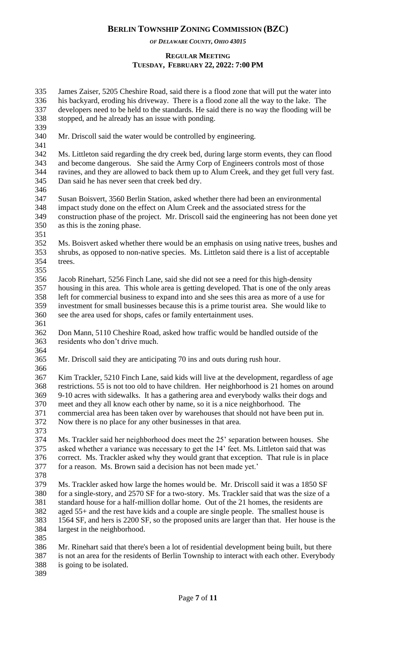*OF DELAWARE COUNTY, OHIO 43015*

#### **REGULAR MEETING TUESDAY, FEBRUARY 22, 2022: 7:00 PM**

 James Zaiser, 5205 Cheshire Road, said there is a flood zone that will put the water into his backyard, eroding his driveway. There is a flood zone all the way to the lake. The developers need to be held to the standards. He said there is no way the flooding will be stopped, and he already has an issue with ponding.

Mr. Driscoll said the water would be controlled by engineering.

 Ms. Littleton said regarding the dry creek bed, during large storm events, they can flood and become dangerous. She said the Army Corp of Engineers controls most of those ravines, and they are allowed to back them up to Alum Creek, and they get full very fast. Dan said he has never seen that creek bed dry.

 Susan Boisvert, 3560 Berlin Station, asked whether there had been an environmental impact study done on the effect on Alum Creek and the associated stress for the construction phase of the project. Mr. Driscoll said the engineering has not been done yet as this is the zoning phase.

 Ms. Boisvert asked whether there would be an emphasis on using native trees, bushes and shrubs, as opposed to non-native species. Ms. Littleton said there is a list of acceptable trees. 

 Jacob Rinehart, 5256 Finch Lane, said she did not see a need for this high-density housing in this area. This whole area is getting developed. That is one of the only areas left for commercial business to expand into and she sees this area as more of a use for investment for small businesses because this is a prime tourist area. She would like to see the area used for shops, cafes or family entertainment uses.

 Don Mann, 5110 Cheshire Road, asked how traffic would be handled outside of the residents who don't drive much. 

- Mr. Driscoll said they are anticipating 70 ins and outs during rush hour.
- 

 Kim Trackler, 5210 Finch Lane, said kids will live at the development, regardless of age restrictions. 55 is not too old to have children. Her neighborhood is 21 homes on around 9-10 acres with sidewalks. It has a gathering area and everybody walks their dogs and meet and they all know each other by name, so it is a nice neighborhood. The commercial area has been taken over by warehouses that should not have been put in. Now there is no place for any other businesses in that area.

 Ms. Trackler said her neighborhood does meet the 25' separation between houses. She asked whether a variance was necessary to get the 14' feet. Ms. Littleton said that was correct. Ms. Trackler asked why they would grant that exception. That rule is in place for a reason. Ms. Brown said a decision has not been made yet.'

 Ms. Trackler asked how large the homes would be. Mr. Driscoll said it was a 1850 SF for a single-story, and 2570 SF for a two-story. Ms. Trackler said that was the size of a standard house for a half-million dollar home. Out of the 21 homes, the residents are aged 55+ and the rest have kids and a couple are single people. The smallest house is 1564 SF, and hers is 2200 SF, so the proposed units are larger than that. Her house is the largest in the neighborhood.

 Mr. Rinehart said that there's been a lot of residential development being built, but there is not an area for the residents of Berlin Township to interact with each other. Everybody

- is going to be isolated.
-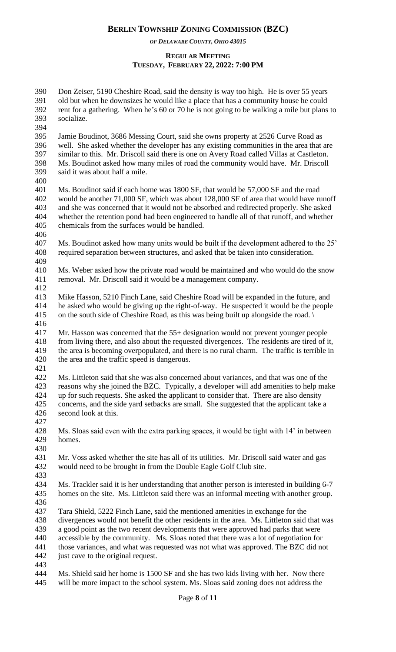*OF DELAWARE COUNTY, OHIO 43015*

#### **REGULAR MEETING TUESDAY, FEBRUARY 22, 2022: 7:00 PM**

 Don Zeiser, 5190 Cheshire Road, said the density is way too high. He is over 55 years old but when he downsizes he would like a place that has a community house he could rent for a gathering. When he's 60 or 70 he is not going to be walking a mile but plans to socialize. 

 Jamie Boudinot, 3686 Messing Court, said she owns property at 2526 Curve Road as well. She asked whether the developer has any existing communities in the area that are similar to this. Mr. Driscoll said there is one on Avery Road called Villas at Castleton. Ms. Boudinot asked how many miles of road the community would have. Mr. Driscoll said it was about half a mile.

 Ms. Boudinot said if each home was 1800 SF, that would be 57,000 SF and the road would be another 71,000 SF, which was about 128,000 SF of area that would have runoff and she was concerned that it would not be absorbed and redirected properly. She asked whether the retention pond had been engineered to handle all of that runoff, and whether chemicals from the surfaces would be handled.

 Ms. Boudinot asked how many units would be built if the development adhered to the 25' required separation between structures, and asked that be taken into consideration. 

 Ms. Weber asked how the private road would be maintained and who would do the snow removal. Mr. Driscoll said it would be a management company.

 Mike Hasson, 5210 Finch Lane, said Cheshire Road will be expanded in the future, and he asked who would be giving up the right-of-way. He suspected it would be the people on the south side of Cheshire Road, as this was being built up alongside the road. \

 Mr. Hasson was concerned that the 55+ designation would not prevent younger people from living there, and also about the requested divergences. The residents are tired of it, the area is becoming overpopulated, and there is no rural charm. The traffic is terrible in the area and the traffic speed is dangerous.

 Ms. Littleton said that she was also concerned about variances, and that was one of the reasons why she joined the BZC. Typically, a developer will add amenities to help make up for such requests. She asked the applicant to consider that. There are also density concerns, and the side yard setbacks are small. She suggested that the applicant take a second look at this.

 Ms. Sloas said even with the extra parking spaces, it would be tight with 14' in between homes.

 Mr. Voss asked whether the site has all of its utilities. Mr. Driscoll said water and gas would need to be brought in from the Double Eagle Golf Club site.

 Ms. Trackler said it is her understanding that another person is interested in building 6-7 homes on the site. Ms. Littleton said there was an informal meeting with another group.

Tara Shield, 5222 Finch Lane, said the mentioned amenities in exchange for the

 divergences would not benefit the other residents in the area. Ms. Littleton said that was a good point as the two recent developments that were approved had parks that were accessible by the community. Ms. Sloas noted that there was a lot of negotiation for

 those variances, and what was requested was not what was approved. The BZC did not just cave to the original request.

 Ms. Shield said her home is 1500 SF and she has two kids living with her. Now there will be more impact to the school system. Ms. Sloas said zoning does not address the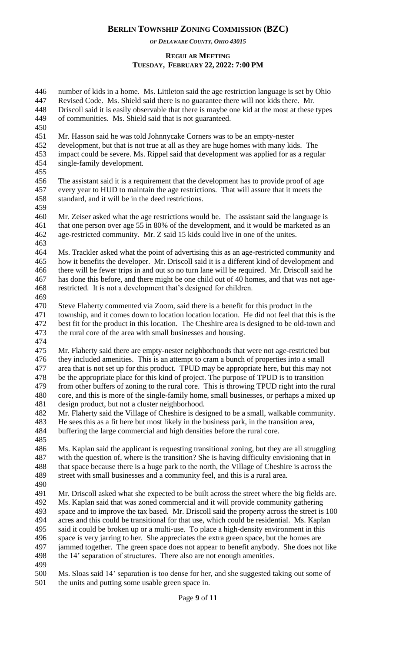*OF DELAWARE COUNTY, OHIO 43015*

#### **REGULAR MEETING TUESDAY, FEBRUARY 22, 2022: 7:00 PM**

 number of kids in a home. Ms. Littleton said the age restriction language is set by Ohio Revised Code. Ms. Shield said there is no guarantee there will not kids there. Mr. Driscoll said it is easily observable that there is maybe one kid at the most at these types of communities. Ms. Shield said that is not guaranteed. Mr. Hasson said he was told Johnnycake Corners was to be an empty-nester development, but that is not true at all as they are huge homes with many kids. The impact could be severe. Ms. Rippel said that development was applied for as a regular single-family development. The assistant said it is a requirement that the development has to provide proof of age every year to HUD to maintain the age restrictions. That will assure that it meets the standard, and it will be in the deed restrictions. Mr. Zeiser asked what the age restrictions would be. The assistant said the language is that one person over age 55 in 80% of the development, and it would be marketed as an age-restricted community. Mr. Z said 15 kids could live in one of the unites. Ms. Trackler asked what the point of advertising this as an age-restricted community and how it benefits the developer. Mr. Driscoll said it is a different kind of development and there will be fewer trips in and out so no turn lane will be required. Mr. Driscoll said he has done this before, and there might be one child out of 40 homes, and that was not age- restricted. It is not a development that's designed for children. Steve Flaherty commented via Zoom, said there is a benefit for this product in the township, and it comes down to location location location. He did not feel that this is the best fit for the product in this location. The Cheshire area is designed to be old-town and the rural core of the area with small businesses and housing. Mr. Flaherty said there are empty-nester neighborhoods that were not age-restricted but they included amenities. This is an attempt to cram a bunch of properties into a small area that is not set up for this product. TPUD may be appropriate here, but this may not be the appropriate place for this kind of project. The purpose of TPUD is to transition from other buffers of zoning to the rural core. This is throwing TPUD right into the rural core, and this is more of the single-family home, small businesses, or perhaps a mixed up design product, but not a cluster neighborhood. Mr. Flaherty said the Village of Cheshire is designed to be a small, walkable community. He sees this as a fit here but most likely in the business park, in the transition area, buffering the large commercial and high densities before the rural core. Ms. Kaplan said the applicant is requesting transitional zoning, but they are all struggling with the question of, where is the transition? She is having difficulty envisioning that in that space because there is a huge park to the north, the Village of Cheshire is across the street with small businesses and a community feel, and this is a rural area. Mr. Driscoll asked what she expected to be built across the street where the big fields are. Ms. Kaplan said that was zoned commercial and it will provide community gathering space and to improve the tax based. Mr. Driscoll said the property across the street is 100 acres and this could be transitional for that use, which could be residential. Ms. Kaplan said it could be broken up or a multi-use. To place a high-density environment in this space is very jarring to her. She appreciates the extra green space, but the homes are jammed together. The green space does not appear to benefit anybody. She does not like 498 the 14' separation of structures. There also are not enough amenities. Ms. Sloas said 14' separation is too dense for her, and she suggested taking out some of the units and putting some usable green space in.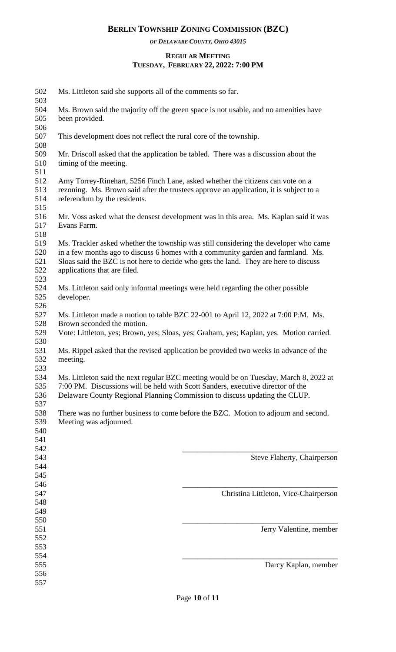*OF DELAWARE COUNTY, OHIO 43015*

#### **REGULAR MEETING TUESDAY, FEBRUARY 22, 2022: 7:00 PM**

| 502<br>503                      | Ms. Littleton said she supports all of the comments so far.                                                                                                                                                                                                                                      |                                                                                      |  |  |
|---------------------------------|--------------------------------------------------------------------------------------------------------------------------------------------------------------------------------------------------------------------------------------------------------------------------------------------------|--------------------------------------------------------------------------------------|--|--|
| 504<br>505<br>506               | Ms. Brown said the majority off the green space is not usable, and no amenities have<br>been provided.                                                                                                                                                                                           |                                                                                      |  |  |
| 507<br>508                      | This development does not reflect the rural core of the township.                                                                                                                                                                                                                                |                                                                                      |  |  |
| 509<br>510<br>511               | Mr. Driscoll asked that the application be tabled. There was a discussion about the<br>timing of the meeting.                                                                                                                                                                                    |                                                                                      |  |  |
| 512<br>513<br>514<br>515        | Amy Torrey-Rinehart, 5256 Finch Lane, asked whether the citizens can vote on a<br>rezoning. Ms. Brown said after the trustees approve an application, it is subject to a<br>referendum by the residents.                                                                                         |                                                                                      |  |  |
| 516<br>517<br>518               | Evans Farm.                                                                                                                                                                                                                                                                                      | Mr. Voss asked what the densest development was in this area. Ms. Kaplan said it was |  |  |
| 519<br>520<br>521<br>522<br>523 | Ms. Trackler asked whether the township was still considering the developer who came<br>in a few months ago to discuss 6 homes with a community garden and farmland. Ms.<br>Sloas said the BZC is not here to decide who gets the land. They are here to discuss<br>applications that are filed. |                                                                                      |  |  |
| 524<br>525<br>526               | Ms. Littleton said only informal meetings were held regarding the other possible<br>developer.                                                                                                                                                                                                   |                                                                                      |  |  |
| 527<br>528<br>529<br>530        | Ms. Littleton made a motion to table BZC 22-001 to April 12, 2022 at 7:00 P.M. Ms.<br>Brown seconded the motion.<br>Vote: Littleton, yes; Brown, yes; Sloas, yes; Graham, yes; Kaplan, yes. Motion carried.                                                                                      |                                                                                      |  |  |
| 531<br>532<br>533               | Ms. Rippel asked that the revised application be provided two weeks in advance of the<br>meeting.                                                                                                                                                                                                |                                                                                      |  |  |
| 534<br>535<br>536<br>537        | Ms. Littleton said the next regular BZC meeting would be on Tuesday, March 8, 2022 at<br>7:00 PM. Discussions will be held with Scott Sanders, executive director of the<br>Delaware County Regional Planning Commission to discuss updating the CLUP.                                           |                                                                                      |  |  |
| 538<br>539<br>540<br>541        | Meeting was adjourned.                                                                                                                                                                                                                                                                           | There was no further business to come before the BZC. Motion to adjourn and second.  |  |  |
| 542<br>543<br>544<br>545        |                                                                                                                                                                                                                                                                                                  | Steve Flaherty, Chairperson                                                          |  |  |
| 546<br>547<br>548<br>549        |                                                                                                                                                                                                                                                                                                  | Christina Littleton, Vice-Chairperson                                                |  |  |
| 550<br>551<br>552<br>553        |                                                                                                                                                                                                                                                                                                  | Jerry Valentine, member                                                              |  |  |
| 554<br>555<br>556<br>557        |                                                                                                                                                                                                                                                                                                  | Darcy Kaplan, member                                                                 |  |  |